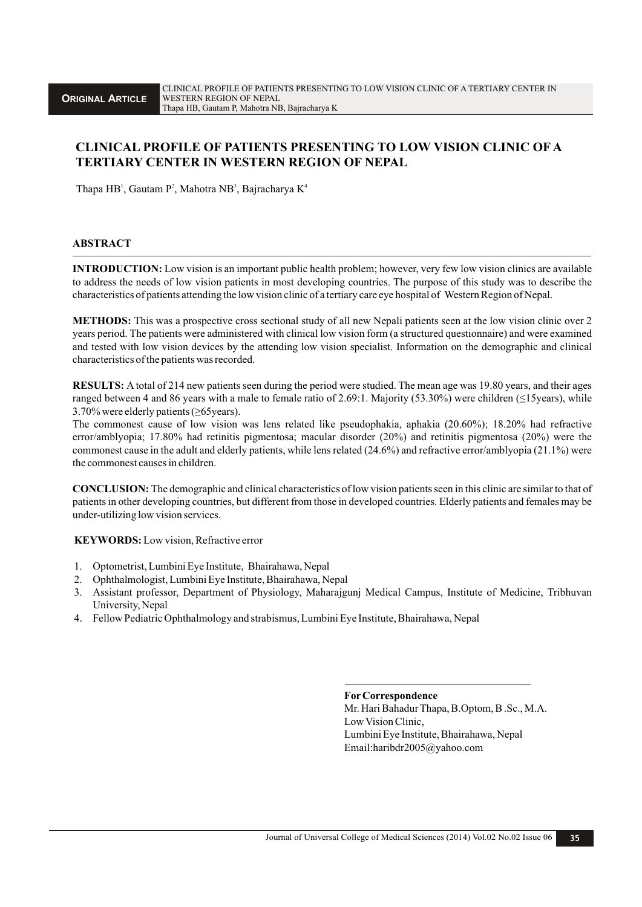# **CLINICAL PROFILE OF PATIENTS PRESENTING TO LOW VISION CLINIC OF A TERTIARY CENTER IN WESTERN REGION OF NEPAL**

Thapa HB<sup>1</sup>, Gautam P<sup>2</sup>, Mahotra NB<sup>3</sup>, Bajracharya K<sup>4</sup>

### **ABSTRACT**

**INTRODUCTION:** Low vision is an important public health problem; however, very few low vision clinics are available to address the needs of low vision patients in most developing countries. The purpose of this study was to describe the characteristics of patients attending the low vision clinic of a tertiary care eye hospital of Western Region of Nepal.

**METHODS:** This was a prospective cross sectional study of all new Nepali patients seen at the low vision clinic over 2 years period. The patients were administered with clinical low vision form (a structured questionnaire) and were examined and tested with low vision devices by the attending low vision specialist. Information on the demographic and clinical characteristics of the patients was recorded.

**RESULTS:** A total of 214 new patients seen during the period were studied. The mean age was 19.80 years, and their ages ranged between 4 and 86 years with a male to female ratio of 2.69:1. Majority (53.30%) were children ( $\leq$ 15years), while 3.70% were elderly patients (≥65years).

The commonest cause of low vision was lens related like pseudophakia, aphakia (20.60%); 18.20% had refractive error/amblyopia; 17.80% had retinitis pigmentosa; macular disorder (20%) and retinitis pigmentosa (20%) were the commonest cause in the adult and elderly patients, while lens related (24.6%) and refractive error/amblyopia (21.1%) were the commonest causes in children.

**CONCLUSION:** The demographic and clinical characteristics of low vision patients seen in this clinic are similar to that of patients in other developing countries, but different from those in developed countries. Elderly patients and females may be under-utilizing low vision services.

**KEYWORDS:** Low vision, Refractive error

- 1. Optometrist, Lumbini Eye Institute, Bhairahawa, Nepal
- 2. Ophthalmologist, Lumbini Eye Institute, Bhairahawa, Nepal
- 3. Assistant professor, Department of Physiology, Maharajgunj Medical Campus, Institute of Medicine, Tribhuvan University, Nepal
- 4. Fellow Pediatric Ophthalmology and strabismus, Lumbini Eye Institute, Bhairahawa, Nepal

**ForCorrespondence**

Mr. Hari Bahadur Thapa, B.Optom, B .Sc., M.A. Low Vision Clinic, Lumbini Eye Institute, Bhairahawa, Nepal Email:haribdr2005@yahoo.com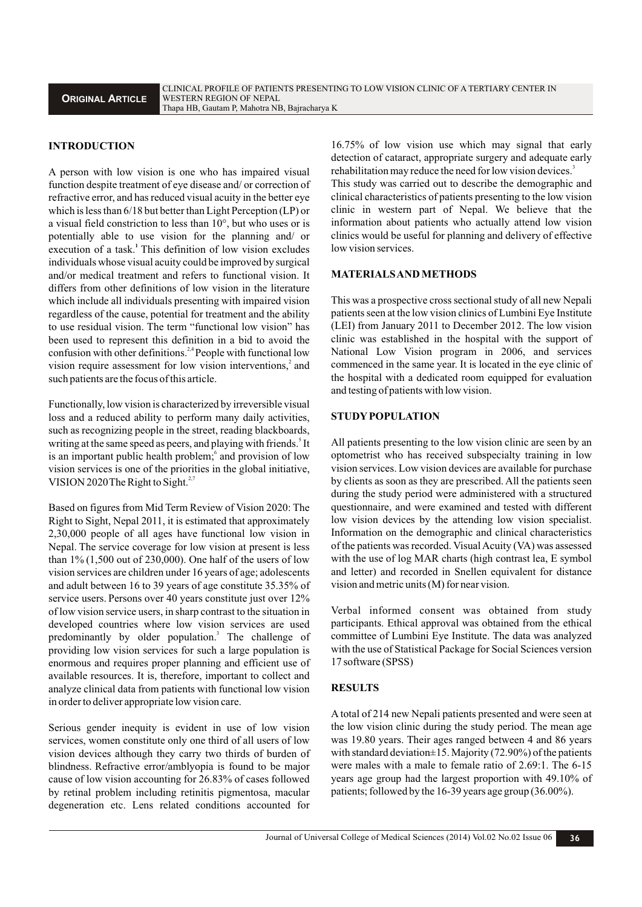## **INTRODUCTION**

A person with low vision is one who has impaired visual function despite treatment of eye disease and/ or correction of refractive error, and has reduced visual acuity in the better eye which is less than 6/18 but better than Light Perception (LP) or a visual field constriction to less than 10°, but who uses or is potentially able to use vision for the planning and/ or execution of a task.<sup>1</sup> This definition of low vision excludes individuals whose visual acuity could be improved by surgical and/or medical treatment and refers to functional vision. It differs from other definitions of low vision in the literature which include all individuals presenting with impaired vision regardless of the cause, potential for treatment and the ability to use residual vision. The term "functional low vision" has been used to represent this definition in a bid to avoid the confusion with other definitions.<sup> $2,4$ </sup> People with functional low vision require assessment for low vision interventions,<sup>2</sup> and such patients are the focus of this article.

Functionally, low vision is characterized by irreversible visual loss and a reduced ability to perform many daily activities, such as recognizing people in the street, reading blackboards, writing at the same speed as peers, and playing with friends.<sup>5</sup> It is an important public health problem; and provision of low vision services is one of the priorities in the global initiative, VISION 2020 The Right to Sight. $27$ 

Based on figures from Mid Term Review of Vision 2020: The Right to Sight, Nepal 2011, it is estimated that approximately 2,30,000 people of all ages have functional low vision in Nepal. The service coverage for low vision at present is less than  $1\%$  (1,500 out of 230,000). One half of the users of low vision services are children under 16 years of age; adolescents and adult between 16 to 39 years of age constitute 35.35% of service users. Persons over 40 years constitute just over  $12\%$ of low vision service users, in sharp contrast to the situation in developed countries where low vision services are used predominantly by older population.<sup>3</sup> The challenge of providing low vision services for such a large population is enormous and requires proper planning and efficient use of available resources. It is, therefore, important to collect and analyze clinical data from patients with functional low vision in order to deliver appropriate low vision care.

Serious gender inequity is evident in use of low vision services, women constitute only one third of all users of low vision devices although they carry two thirds of burden of blindness. Refractive error/amblyopia is found to be major cause of low vision accounting for 26.83% of cases followed by retinal problem including retinitis pigmentosa, macular degeneration etc. Lens related conditions accounted for

16.75% of low vision use which may signal that early detection of cataract, appropriate surgery and adequate early rehabilitation may reduce the need for low vision devices.<sup>3</sup>

This study was carried out to describe the demographic and clinical characteristics of patients presenting to the low vision clinic in western part of Nepal. We believe that the information about patients who actually attend low vision clinics would be useful for planning and delivery of effective low vision services.

#### **MATERIALS AND METHODS**

This was a prospective cross sectional study of all new Nepali patients seen at the low vision clinics of Lumbini Eye Institute (LEI) from January 2011 to December 2012. The low vision clinic was established in the hospital with the support of National Low Vision program in 2006, and services commenced in the same year. It is located in the eye clinic of the hospital with a dedicated room equipped for evaluation and testing of patients with low vision.

#### **STUDYPOPULATION**

All patients presenting to the low vision clinic are seen by an optometrist who has received subspecialty training in low vision services. Low vision devices are available for purchase by clients as soon as they are prescribed. All the patients seen during the study period were administered with a structured questionnaire, and were examined and tested with different low vision devices by the attending low vision specialist. Information on the demographic and clinical characteristics of the patients was recorded. Visual Acuity (VA) was assessed with the use of log MAR charts (high contrast lea, E symbol and letter) and recorded in Snellen equivalent for distance vision and metric units (M) for near vision.

Verbal informed consent was obtained from study participants. Ethical approval was obtained from the ethical committee of Lumbini Eye Institute. The data was analyzed with the use of Statistical Package for Social Sciences version 17 software (SPSS)

## **RESULTS**

A total of 214 new Nepali patients presented and were seen at the low vision clinic during the study period. The mean age was 19.80 years. Their ages ranged between 4 and 86 years with standard deviation $\pm 15$ . Majority (72.90%) of the patients were males with a male to female ratio of 2.69:1. The 6-15 years age group had the largest proportion with 49.10% of patients; followed by the 16-39 years age group (36.00%).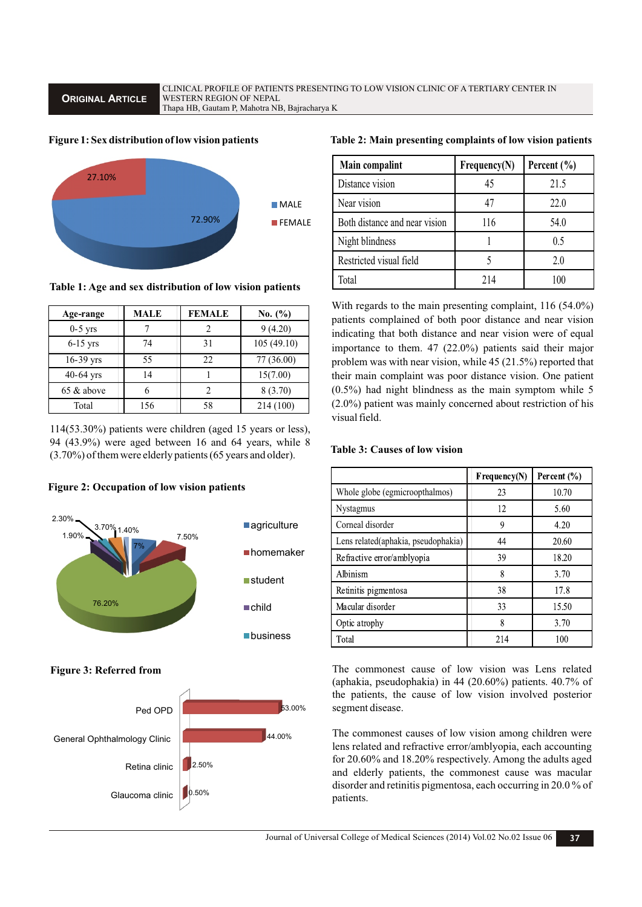**ORIGINAL ARTICLE**

CLINICAL PROFILE OF PATIENTS PRESENTING TO LOW VISION CLINIC OF A TERTIARY CENTER IN WESTERN REGION OF NEPAL Thapa HB, Gautam P, Mahotra NB, Bajracharya K

### **Figure 1: Sex distribution of low vision patients**



**Table 1: Age and sex distribution of low vision patients**

| Age-range   | <b>MALE</b> | <b>FEMALE</b> | No. $(\% )$ |
|-------------|-------------|---------------|-------------|
| $0-5$ yrs   |             | 2             | 9(4.20)     |
| $6-15$ yrs  | 74          | 31            | 105(49.10)  |
| 16-39 yrs   | 55          | 22            | 77 (36.00)  |
| $40-64$ yrs | 14          |               | 15(7.00)    |
| 65 & above  | 6           | 2             | 8 (3.70)    |
| Total       | 156         | 58            | 214 (100)   |

114(53.30%) patients were children (aged 15 years or less), 94 (43.9%) were aged between 16 and 64 years, while 8 (3.70%) of them were elderly patients (65 years and older).

## **Figure 2: Occupation of low vision patients**



**Figure 3: Referred from**



## **Table 2: Main presenting complaints of low vision patients**

| Main compalint                | Frequency(N) | Percent $(\% )$ |
|-------------------------------|--------------|-----------------|
| Distance vision               | 45           | 21.5            |
| Near vision                   | 47           | 22.0            |
| Both distance and near vision | 116          | 54.0            |
| Night blindness               |              | 0.5             |
| Restricted visual field       |              | 2.0             |
| Total                         | 214          | 100             |

With regards to the main presenting complaint, 116 (54.0%) patients complained of both poor distance and near vision indicating that both distance and near vision were of equal importance to them. 47 (22.0%) patients said their major problem was with near vision, while 45 (21.5%) reported that their main complaint was poor distance vision. One patient (0.5%) had night blindness as the main symptom while 5 (2.0%) patient was mainly concerned about restriction of his visual field.

## **Table 3: Causes of low vision**

|                                     | $F$ requency(N) | Percent $(\% )$ |
|-------------------------------------|-----------------|-----------------|
| Whole globe (egmicroopthalmos)      | 23              | 10.70           |
| <b>Nystagmus</b>                    | 12              | 5.60            |
| Corneal disorder                    | 9               | 4.20            |
| Lens related(aphakia, pseudophakia) | 44              | 20.60           |
| Refractive error/amblyopia          | 39              | 18.20           |
| Albinism                            | 8               | 3.70            |
| Retinitis pigmentosa                | 38              | 17.8            |
| Macular disorder                    | 33              | 15.50           |
| Optic atrophy                       | 8               | 3.70            |
| Total                               | 214             | 100             |

The commonest cause of low vision was Lens related (aphakia, pseudophakia) in 44 (20.60%) patients. 40.7% of the patients, the cause of low vision involved posterior segment disease.

The commonest causes of low vision among children were lens related and refractive error/amblyopia, each accounting for 20.60% and 18.20% respectively. Among the adults aged and elderly patients, the commonest cause was macular disorder and retinitis pigmentosa, each occurring in 20.0 % of patients.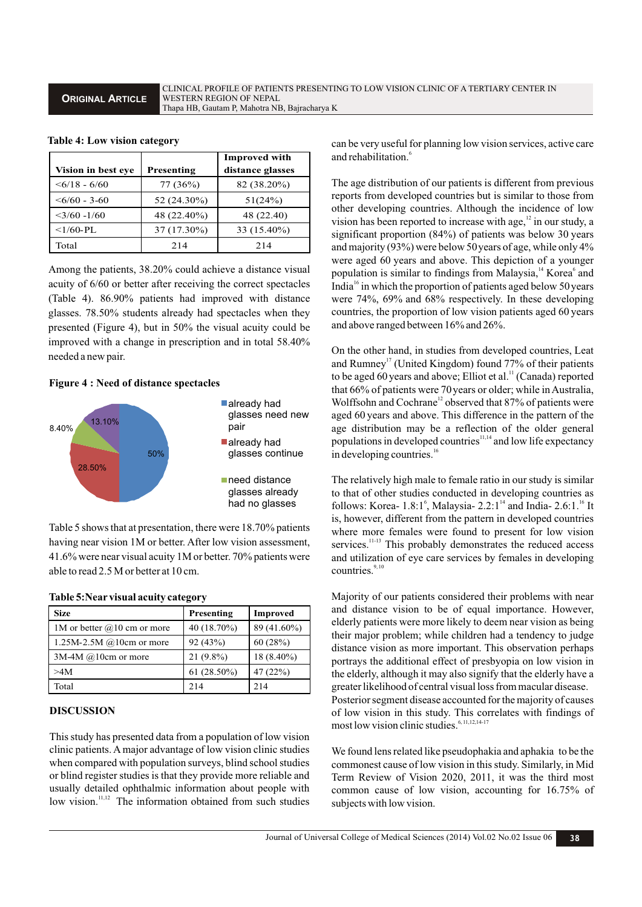## **ORIGINAL ARTICLE**

CLINICAL PROFILE OF PATIENTS PRESENTING TO LOW VISION CLINIC OF A TERTIARY CENTER IN WESTERN REGION OF NEPAL Thapa HB, Gautam P, Mahotra NB, Bajracharya K

|                      |             | <b>Improved with</b> |
|----------------------|-------------|----------------------|
| Vision in best eve   | Presenting  | distance glasses     |
| $\leq 6/18 - 6/60$   | 77 (36%)    | 82 (38.20%)          |
| $\leq 6/60 - 3 - 60$ | 52 (24.30%) | 51(24%)              |
| $<$ 3/60 -1/60       | 48 (22.40%) | 48 (22.40)           |
| $<1/60-PL$           | 37 (17.30%) | 33 (15.40%)          |
| Total                | 214         | 214                  |

#### **Table 4: Low vision category**

Among the patients, 38.20% could achieve a distance visual acuity of 6/60 or better after receiving the correct spectacles (Table 4). 86.90% patients had improved with distance glasses. 78.50% students already had spectacles when they presented (Figure 4), but in 50% the visual acuity could be improved with a change in prescription and in total 58.40% needed a new pair.

## **Figure 4 : Need of distance spectacles**



Table 5 shows that at presentation, there were 18.70% patients having near vision 1M or better. After low vision assessment, 41.6% were near visual acuity 1M or better. 70% patients were able to read 2.5 M or better at 10 cm.

| <b>Size</b>                   | Presenting    | <b>Improved</b> |
|-------------------------------|---------------|-----------------|
| 1M or better $@10$ cm or more | 40 (18.70%)   | 89 (41.60%)     |
| 1.25M-2.5M $@10cm$ or more    | 92(43%)       | 60(28%)         |
| $3M-4M$ @10cm or more         | $21(9.8\%)$   | $18(8.40\%)$    |
| >4M                           | $61(28.50\%)$ | 47(22%)         |
| Total                         | 2.14          | 2.14            |

#### **Table 5:Near visual acuity category**

#### **DISCUSSION**

This study has presented data from a population of low vision clinic patients. Amajor advantage of low vision clinic studies when compared with population surveys, blind school studies or blind register studies is that they provide more reliable and usually detailed ophthalmic information about people with  $10W$  vision.<sup>11,12</sup> The information obtained from such studies can be very useful for planning low vision services, active care and rehabilitation.<sup>6</sup>

The age distribution of our patients is different from previous reports from developed countries but is similar to those from other developing countries. Although the incidence of low vision has been reported to increase with age, $\frac{12}{10}$  in our study, a significant proportion (84%) of patients was below 30 years and majority (93%) were below 50years of age, while only 4% were aged 60 years and above. This depiction of a younger population is similar to findings from Malaysia,<sup>14</sup> Korea<sup>6</sup> and India<sup>16</sup> in which the proportion of patients aged below 50 years were 74%, 69% and 68% respectively. In these developing countries, the proportion of low vision patients aged 60 years and above ranged between 16% and 26%.

On the other hand, in studies from developed countries, Leat and Rumney<sup>17</sup> (United Kingdom) found  $77%$  of their patients to be aged 60 years and above; Elliot et al.<sup>11</sup> (Canada) reported that 66% of patients were 70years or older; while in Australia, Wolffsohn and Cochrane<sup>12</sup> observed that 87% of patients were aged 60 years and above. This difference in the pattern of the age distribution may be a reflection of the older general populations in developed countries<sup>11,14</sup> and low life expectancy in developing countries.<sup>16</sup>

The relatively high male to female ratio in our study is similar to that of other studies conducted in developing countries as follows: Korea-  $1.8:1<sup>6</sup>$ , Malaysia-  $2.2:1<sup>14</sup>$  and India-  $2.6:1<sup>16</sup>$  It is, however, different from the pattern in developed countries where more females were found to present for low vision services.<sup>11-13</sup> This probably demonstrates the reduced access and utilization of eye care services by females in developing countries. $9,1$ 

Majority of our patients considered their problems with near and distance vision to be of equal importance. However, elderly patients were more likely to deem near vision as being their major problem; while children had a tendency to judge distance vision as more important. This observation perhaps portrays the additional effect of presbyopia on low vision in the elderly, although it may also signify that the elderly have a greater likelihood of central visual loss from macular disease. Posterior segment disease accounted for the majority of causes of low vision in this study. This correlates with findings of most low vision clinic studies.<sup>6, 11,12,14-17</sup>

We found lens related like pseudophakia and aphakia to be the commonest cause of low vision in this study. Similarly, in Mid Term Review of Vision 2020, 2011, it was the third most common cause of low vision, accounting for 16.75% of subjects with low vision.